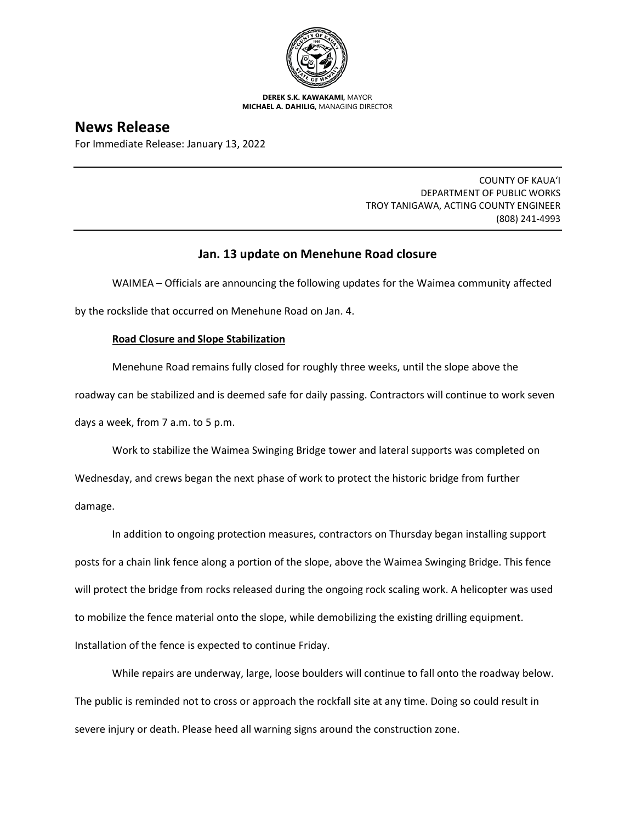

**DEREK S.K. KAWAKAMI,** MAYOR **MICHAEL A. DAHILIG,** MANAGING DIRECTOR

# **News Release**

For Immediate Release: January 13, 2022

COUNTY OF KAUA'I DEPARTMENT OF PUBLIC WORKS TROY TANIGAWA, ACTING COUNTY ENGINEER (808) 241-4993

## **Jan. 13 update on Menehune Road closure**

WAIMEA – Officials are announcing the following updates for the Waimea community affected by the rockslide that occurred on Menehune Road on Jan. 4.

## **Road Closure and Slope Stabilization**

Menehune Road remains fully closed for roughly three weeks, until the slope above the roadway can be stabilized and is deemed safe for daily passing. Contractors will continue to work seven days a week, from 7 a.m. to 5 p.m.

Work to stabilize the Waimea Swinging Bridge tower and lateral supports was completed on Wednesday, and crews began the next phase of work to protect the historic bridge from further damage.

In addition to ongoing protection measures, contractors on Thursday began installing support posts for a chain link fence along a portion of the slope, above the Waimea Swinging Bridge. This fence will protect the bridge from rocks released during the ongoing rock scaling work. A helicopter was used to mobilize the fence material onto the slope, while demobilizing the existing drilling equipment. Installation of the fence is expected to continue Friday.

While repairs are underway, large, loose boulders will continue to fall onto the roadway below. The public is reminded not to cross or approach the rockfall site at any time. Doing so could result in severe injury or death. Please heed all warning signs around the construction zone.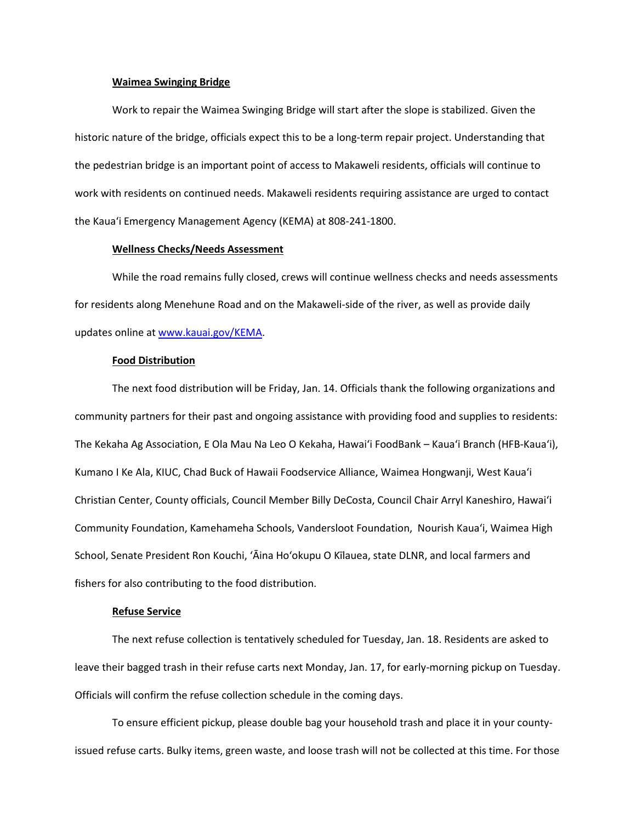#### **Waimea Swinging Bridge**

Work to repair the Waimea Swinging Bridge will start after the slope is stabilized. Given the historic nature of the bridge, officials expect this to be a long-term repair project. Understanding that the pedestrian bridge is an important point of access to Makaweli residents, officials will continue to work with residents on continued needs. Makaweli residents requiring assistance are urged to contact the Kaua'i Emergency Management Agency (KEMA) at 808-241-1800.

#### **Wellness Checks/Needs Assessment**

While the road remains fully closed, crews will continue wellness checks and needs assessments for residents along Menehune Road and on the Makaweli-side of the river, as well as provide daily updates online at [www.kauai.gov/KEMA.](http://www.kauai.gov/KEMA)

#### **Food Distribution**

The next food distribution will be Friday, Jan. 14. Officials thank the following organizations and community partners for their past and ongoing assistance with providing food and supplies to residents: The Kekaha Ag Association, E Ola Mau Na Leo O Kekaha, Hawai'i FoodBank – Kaua'i Branch (HFB-Kaua'i), Kumano I Ke Ala, KIUC, Chad Buck of Hawaii Foodservice Alliance, Waimea Hongwanji, West Kaua'i Christian Center, County officials, Council Member Billy DeCosta, Council Chair Arryl Kaneshiro, Hawai'i Community Foundation, Kamehameha Schools, Vandersloot Foundation, Nourish Kaua'i, Waimea High School, Senate President Ron Kouchi, 'Āina Ho'okupu O Kīlauea, state DLNR, and local farmers and fishers for also contributing to the food distribution.

### **Refuse Service**

The next refuse collection is tentatively scheduled for Tuesday, Jan. 18. Residents are asked to leave their bagged trash in their refuse carts next Monday, Jan. 17, for early-morning pickup on Tuesday. Officials will confirm the refuse collection schedule in the coming days.

To ensure efficient pickup, please double bag your household trash and place it in your countyissued refuse carts. Bulky items, green waste, and loose trash will not be collected at this time. For those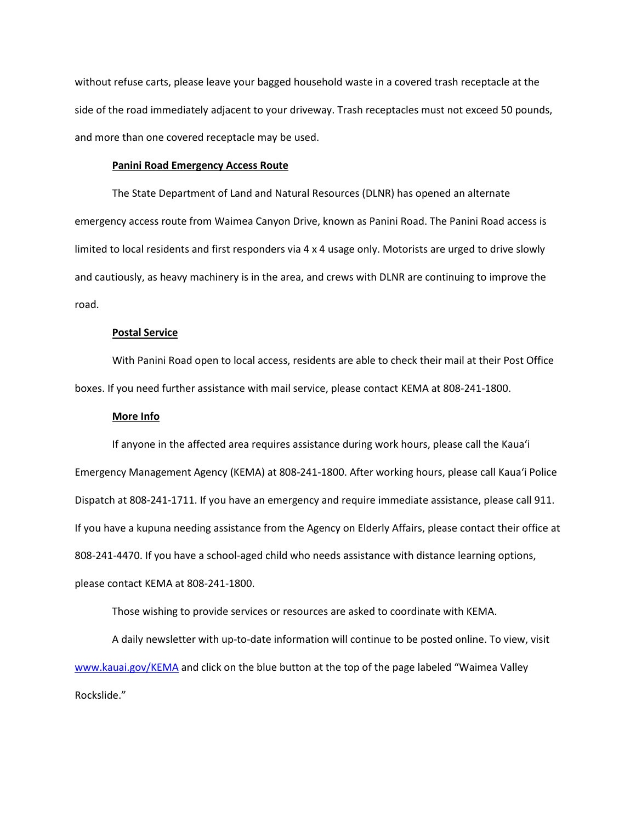without refuse carts, please leave your bagged household waste in a covered trash receptacle at the side of the road immediately adjacent to your driveway. Trash receptacles must not exceed 50 pounds, and more than one covered receptacle may be used.

#### **Panini Road Emergency Access Route**

The State Department of Land and Natural Resources (DLNR) has opened an alternate emergency access route from Waimea Canyon Drive, known as Panini Road. The Panini Road access is limited to local residents and first responders via 4 x 4 usage only. Motorists are urged to drive slowly and cautiously, as heavy machinery is in the area, and crews with DLNR are continuing to improve the road.

## **Postal Service**

With Panini Road open to local access, residents are able to check their mail at their Post Office boxes. If you need further assistance with mail service, please contact KEMA at 808-241-1800.

### **More Info**

If anyone in the affected area requires assistance during work hours, please call the Kaua'i Emergency Management Agency (KEMA) at 808-241-1800. After working hours, please call Kaua'i Police Dispatch at 808-241-1711. If you have an emergency and require immediate assistance, please call 911. If you have a kupuna needing assistance from the Agency on Elderly Affairs, please contact their office at 808-241-4470. If you have a school-aged child who needs assistance with distance learning options, please contact KEMA at 808-241-1800.

Those wishing to provide services or resources are asked to coordinate with KEMA.

A daily newsletter with up-to-date information will continue to be posted online. To view, visit [www.kauai.gov/KEMA](http://www.kauai.gov/KEMA) and click on the blue button at the top of the page labeled "Waimea Valley Rockslide."